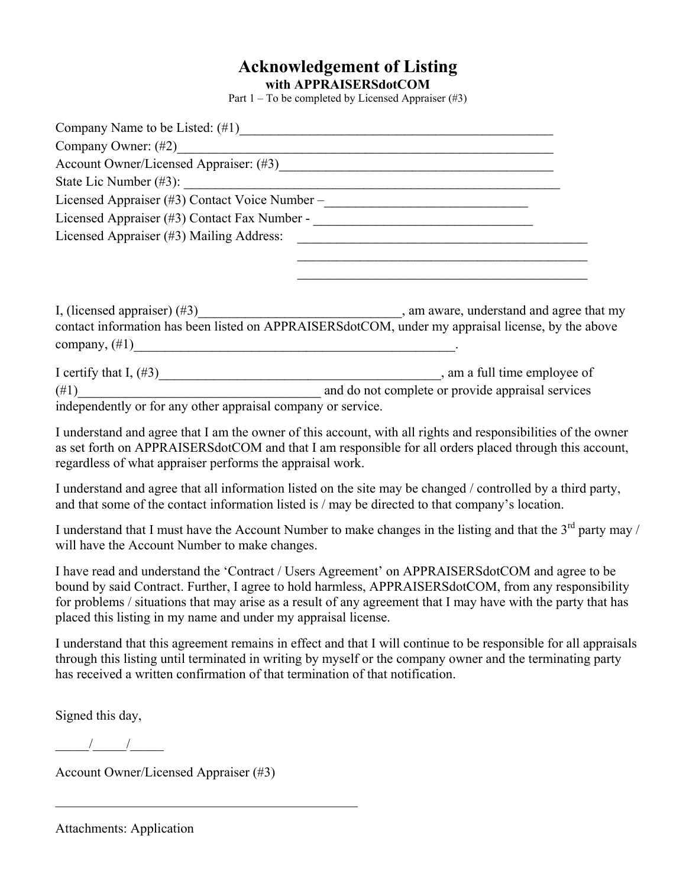## **Acknowledgement of Listing with APPRAISERSdotCOM**

Part 1 – To be completed by Licensed Appraiser (#3)

| Company Name to be Listed: (#1)                                                                                                                                                                                                                       |                                                                 |  |
|-------------------------------------------------------------------------------------------------------------------------------------------------------------------------------------------------------------------------------------------------------|-----------------------------------------------------------------|--|
|                                                                                                                                                                                                                                                       |                                                                 |  |
|                                                                                                                                                                                                                                                       |                                                                 |  |
| State Lic Number (#3):                                                                                                                                                                                                                                | <u> 1989 - Johann Stoff, amerikansk politiker (d. 1989)</u>     |  |
| Licensed Appraiser (#3) Contact Voice Number –__________________________________                                                                                                                                                                      |                                                                 |  |
|                                                                                                                                                                                                                                                       |                                                                 |  |
| Licensed Appraiser (#3) Mailing Address:                                                                                                                                                                                                              | <u> 2000 - Andrea San Andrews, amerikansk politik (d. 1982)</u> |  |
|                                                                                                                                                                                                                                                       |                                                                 |  |
|                                                                                                                                                                                                                                                       |                                                                 |  |
|                                                                                                                                                                                                                                                       |                                                                 |  |
|                                                                                                                                                                                                                                                       |                                                                 |  |
| contact information has been listed on APPRAISERSdotCOM, under my appraisal license, by the above                                                                                                                                                     |                                                                 |  |
|                                                                                                                                                                                                                                                       |                                                                 |  |
| I certify that I, $(\#3)$ and $\pi$ and $\pi$ are $\pi$ and $\pi$ and $\pi$ and $\pi$ and $\pi$ and $\pi$ and $\pi$ and $\pi$ and $\pi$ and $\pi$ and $\pi$ and $\pi$ and $\pi$ and $\pi$ and $\pi$ and $\pi$ and $\pi$ and $\pi$ and $\pi$ and $\pi$ |                                                                 |  |
| $(\#1)$                                                                                                                                                                                                                                               | and do not complete or provide appraisal services               |  |
| independently or for any other appraisal company or service.                                                                                                                                                                                          |                                                                 |  |

I understand and agree that I am the owner of this account, with all rights and responsibilities of the owner as set forth on APPRAISERSdotCOM and that I am responsible for all orders placed through this account, regardless of what appraiser performs the appraisal work.

I understand and agree that all information listed on the site may be changed / controlled by a third party, and that some of the contact information listed is / may be directed to that company's location.

I understand that I must have the Account Number to make changes in the listing and that the  $3<sup>rd</sup>$  party may / will have the Account Number to make changes.

I have read and understand the 'Contract / Users Agreement' on APPRAISERSdotCOM and agree to be bound by said Contract. Further, I agree to hold harmless, APPRAISERSdotCOM, from any responsibility for problems / situations that may arise as a result of any agreement that I may have with the party that has placed this listing in my name and under my appraisal license.

I understand that this agreement remains in effect and that I will continue to be responsible for all appraisals through this listing until terminated in writing by myself or the company owner and the terminating party has received a written confirmation of that termination of that notification.

Signed this day,

 $\frac{1}{2}$   $\frac{1}{2}$   $\frac{1}{2}$ 

Account Owner/Licensed Appraiser (#3)

 $\mathcal{L}_\text{max}$  and  $\mathcal{L}_\text{max}$  and  $\mathcal{L}_\text{max}$  and  $\mathcal{L}_\text{max}$  and  $\mathcal{L}_\text{max}$ 

Attachments: Application